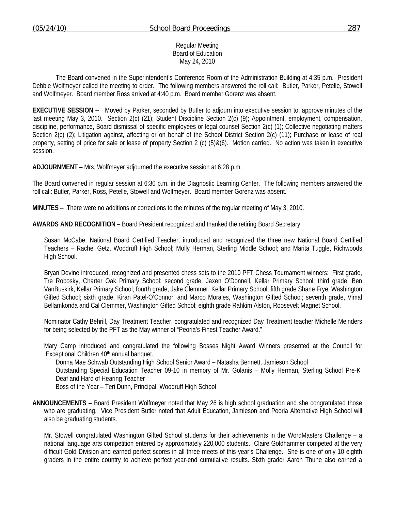### Regular Meeting Board of Education May 24, 2010

 The Board convened in the Superintendent's Conference Room of the Administration Building at 4:35 p.m. President Debbie Wolfmeyer called the meeting to order. The following members answered the roll call: Butler, Parker, Petelle, Stowell and Wolfmeyer. Board member Ross arrived at 4:40 p.m. Board member Gorenz was absent.

**EXECUTIVE SESSION** -- Moved by Parker, seconded by Butler to adjourn into executive session to: approve minutes of the last meeting May 3, 2010. Section 2(c) (21); Student Discipline Section 2(c) (9); Appointment, employment, compensation, discipline, performance, Board dismissal of specific employees or legal counsel Section 2(c) (1); Collective negotiating matters Section 2(c) (2); Litigation against, affecting or on behalf of the School District Section 2(c) (11); Purchase or lease of real property, setting of price for sale or lease of property Section 2 (c) (5)&(6). Motion carried. No action was taken in executive session.

**ADJOURNMENT** – Mrs. Wolfmeyer adjourned the executive session at 6:28 p.m.

The Board convened in regular session at 6:30 p.m. in the Diagnostic Learning Center. The following members answered the roll call: Butler, Parker, Ross, Petelle, Stowell and Wolfmeyer. Board member Gorenz was absent.

**MINUTES** – There were no additions or corrections to the minutes of the regular meeting of May 3, 2010.

**AWARDS AND RECOGNITION** – Board President recognized and thanked the retiring Board Secretary.

Susan McCabe, National Board Certified Teacher, introduced and recognized the three new National Board Certified Teachers – Rachel Getz, Woodruff High School; Molly Herman, Sterling Middle School; and Marita Tuggle, Richwoods High School.

 Bryan Devine introduced, recognized and presented chess sets to the 2010 PFT Chess Tournament winners: First grade, Tre Robosky, Charter Oak Primary School; second grade, Jaxen O'Donnell, Kellar Primary School; third grade, Ben VanBuskirk, Kellar Primary School; fourth grade, Jake Clemmer, Kellar Primary School; fifth grade Shane Frye, Washington Gifted School; sixth grade, Kiran Patel-O'Connor, and Marco Morales, Washington Gifted School; seventh grade, Vimal Bellamkonda and Cal Clemmer, Washington Gifted School; eighth grade Rahkim Alston, Roosevelt Magnet School.

 Nominator Cathy Behrill, Day Treatment Teacher, congratulated and recognized Day Treatment teacher Michelle Meinders for being selected by the PFT as the May winner of "Peoria's Finest Teacher Award."

Mary Camp introduced and congratulated the following Bosses Night Award Winners presented at the Council for Exceptional Children 40<sup>th</sup> annual banquet.

Donna Mae Schwab Outstanding High School Senior Award – Natasha Bennett, Jamieson School

 Outstanding Special Education Teacher 09-10 in memory of Mr. Golanis – Molly Herman, Sterling School Pre-K Deaf and Hard of Hearing Teacher

Boss of the Year – Teri Dunn, Principal, Woodruff High School

**ANNOUNCEMENTS** – Board President Wolfmeyer noted that May 26 is high school graduation and she congratulated those who are graduating. Vice President Butler noted that Adult Education, Jamieson and Peoria Alternative High School will also be graduating students.

 Mr. Stowell congratulated Washington Gifted School students for their achievements in the WordMasters Challenge – a national language arts competition entered by approximately 220,000 students. Claire Goldhammer competed at the very difficult Gold Division and earned perfect scores in all three meets of this year's Challenge. She is one of only 10 eighth graders in the entire country to achieve perfect year-end cumulative results. Sixth grader Aaron Thune also earned a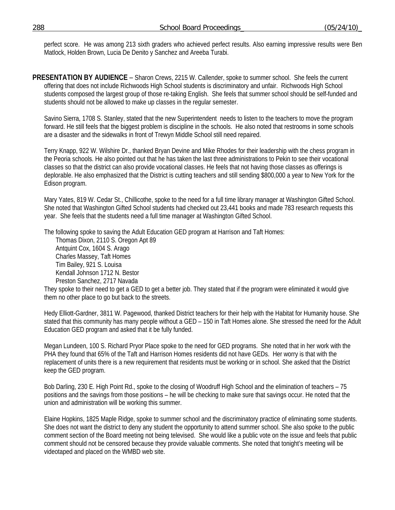perfect score. He was among 213 sixth graders who achieved perfect results. Also earning impressive results were Ben Matlock, Holden Brown, Lucia De Denito y Sanchez and Areeba Turabi.

**PRESENTATION BY AUDIENCE** – Sharon Crews, 2215 W. Callender, spoke to summer school. She feels the current offering that does not include Richwoods High School students is discriminatory and unfair. Richwoods High School students composed the largest group of those re-taking English. She feels that summer school should be self-funded and students should not be allowed to make up classes in the regular semester.

Savino Sierra, 1708 S. Stanley, stated that the new Superintendent needs to listen to the teachers to move the program forward. He still feels that the biggest problem is discipline in the schools. He also noted that restrooms in some schools are a disaster and the sidewalks in front of Trewyn Middle School still need repaired.

Terry Knapp, 922 W. Wilshire Dr., thanked Bryan Devine and Mike Rhodes for their leadership with the chess program in the Peoria schools. He also pointed out that he has taken the last three administrations to Pekin to see their vocational classes so that the district can also provide vocational classes. He feels that not having those classes as offerings is deplorable. He also emphasized that the District is cutting teachers and still sending \$800,000 a year to New York for the Edison program.

Mary Yates, 819 W. Cedar St., Chillicothe, spoke to the need for a full time library manager at Washington Gifted School. She noted that Washington Gifted School students had checked out 23,441 books and made 783 research requests this year. She feels that the students need a full time manager at Washington Gifted School.

The following spoke to saving the Adult Education GED program at Harrison and Taft Homes:

Thomas Dixon, 2110 S. Oregon Apt 89 Antquint Cox, 1604 S. Arago Charles Massey, Taft Homes Tim Bailey, 921 S. Louisa Kendall Johnson 1712 N. Bestor Preston Sanchez, 2717 Navada

They spoke to their need to get a GED to get a better job. They stated that if the program were eliminated it would give them no other place to go but back to the streets.

Hedy Elliott-Gardner, 3811 W. Pagewood, thanked District teachers for their help with the Habitat for Humanity house. She stated that this community has many people without a GED – 150 in Taft Homes alone. She stressed the need for the Adult Education GED program and asked that it be fully funded.

Megan Lundeen, 100 S. Richard Pryor Place spoke to the need for GED programs. She noted that in her work with the PHA they found that 65% of the Taft and Harrison Homes residents did not have GEDs. Her worry is that with the replacement of units there is a new requirement that residents must be working or in school. She asked that the District keep the GED program.

Bob Darling, 230 E. High Point Rd., spoke to the closing of Woodruff High School and the elimination of teachers – 75 positions and the savings from those positions – he will be checking to make sure that savings occur. He noted that the union and administration will be working this summer.

Elaine Hopkins, 1825 Maple Ridge, spoke to summer school and the discriminatory practice of eliminating some students. She does not want the district to deny any student the opportunity to attend summer school. She also spoke to the public comment section of the Board meeting not being televised. She would like a public vote on the issue and feels that public comment should not be censored because they provide valuable comments. She noted that tonight's meeting will be videotaped and placed on the WMBD web site.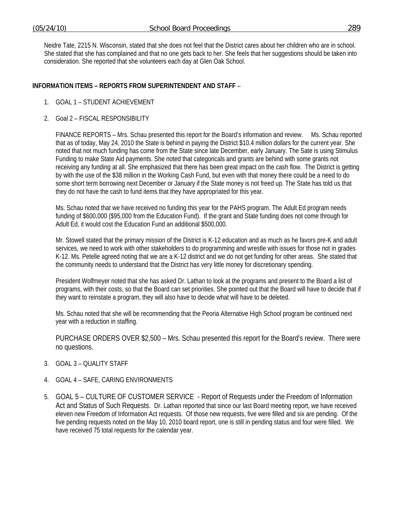Neidre Tate, 2215 N. Wisconsin, stated that she does not feel that the District cares about her children who are in school. She stated that she has complained and that no one gets back to her. She feels that her suggestions should be taken into consideration. She reported that she volunteers each day at Glen Oak School.

## **INFORMATION ITEMS – REPORTS FROM SUPERINTENDENT AND STAFF** –

- 1. GOAL 1 STUDENT ACHIEVEMENT
- 2. Goal 2 FISCAL RESPONSIBILITY

 FINANCE REPORTS – Mrs. Schau presented this report for the Board's information and review. Ms. Schau reported that as of today, May 24, 2010 the State is behind in paying the District \$10.4 million dollars for the current year. She noted that not much funding has come from the State since late December, early January. The Sate is using Stimulus Funding to make State Aid payments. She noted that categoricals and grants are behind with some grants not receiving any funding at all. She emphasized that there has been great impact on the cash flow. The District is getting by with the use of the \$38 million in the Working Cash Fund, but even with that money there could be a need to do some short term borrowing next December or January if the State money is not freed up. The State has told us that they do not have the cash to fund items that they have appropriated for this year.

Ms. Schau noted that we have received no funding this year for the PAHS program. The Adult Ed program needs funding of \$600,000 (\$95,000 from the Education Fund). If the grant and State funding does not come through for Adult Ed, it would cost the Education Fund an additional \$500,000.

Mr. Stowell stated that the primary mission of the District is K-12 education and as much as he favors pre-K and adult services, we need to work with other stakeholders to do programming and wrestle with issues for those not in grades K-12. Ms. Petelle agreed noting that we are a K-12 district and we do not get funding for other areas. She stated that the community needs to understand that the District has very little money for discretionary spending.

President Wolfmeyer noted that she has asked Dr. Lathan to look at the programs and present to the Board a list of programs, with their costs, so that the Board can set priorities. She pointed out that the Board will have to decide that if they want to reinstate a program, they will also have to decide what will have to be deleted.

Ms. Schau noted that she will be recommending that the Peoria Alternative High School program be continued next year with a reduction in staffing.

PURCHASE ORDERS OVER \$2,500 – Mrs. Schau presented this report for the Board's review. There were no questions.

- 3. GOAL 3 QUALITY STAFF
- 4. GOAL 4 SAFE, CARING ENVIRONMENTS
- 5. GOAL 5 CULTURE OF CUSTOMER SERVICE Report of Requests under the Freedom of Information Act and Status of Such Requests. Dr. Lathan reported that since our last Board meeting report, we have received eleven new Freedom of Information Act requests. Of those new requests, five were filled and six are pending. Of the five pending requests noted on the May 10, 2010 board report, one is still in pending status and four were filled. We have received 75 total requests for the calendar year.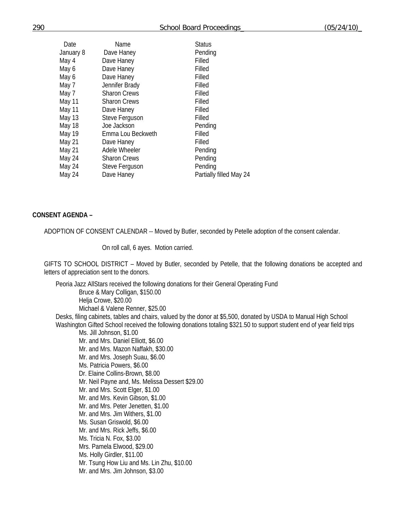| Date      | Name                | <b>Status</b>           |
|-----------|---------------------|-------------------------|
| January 8 | Dave Haney          | Pending                 |
| May 4     | Dave Haney          | Filled                  |
| May 6     | Dave Haney          | Filled                  |
| May 6     | Dave Haney          | Filled                  |
| May 7     | Jennifer Brady      | Filled                  |
| May 7     | <b>Sharon Crews</b> | Filled                  |
| May 11    | <b>Sharon Crews</b> | Filled                  |
| May 11    | Dave Haney          | Filled                  |
| May 13    | Steve Ferguson      | Filled                  |
| May 18    | Joe Jackson         | Pending                 |
| May 19    | Emma Lou Beckweth   | Filled                  |
| May 21    | Dave Haney          | Filled                  |
| May 21    | Adele Wheeler       | Pending                 |
| May 24    | <b>Sharon Crews</b> | Pending                 |
| May 24    | Steve Ferguson      | Pending                 |
| May 24    | Dave Haney          | Partially filled May 24 |
|           |                     |                         |

### **CONSENT AGENDA –**

ADOPTION OF CONSENT CALENDAR -- Moved by Butler, seconded by Petelle adoption of the consent calendar.

On roll call, 6 ayes. Motion carried.

GIFTS TO SCHOOL DISTRICT – Moved by Butler, seconded by Petelle, that the following donations be accepted and letters of appreciation sent to the donors.

Peoria Jazz AllStars received the following donations for their General Operating Fund Bruce & Mary Colligan, \$150.00 Helja Crowe, \$20.00 Michael & Valene Renner, \$25.00 Desks, filing cabinets, tables and chairs, valued by the donor at \$5,500, donated by USDA to Manual High School Washington Gifted School received the following donations totaling \$321.50 to support student end of year field trips Ms. Jill Johnson, \$1.00 Mr. and Mrs. Daniel Elliott, \$6.00 Mr. and Mrs. Mazon Naffakh, \$30.00 Mr. and Mrs. Joseph Suau, \$6.00 Ms. Patricia Powers, \$6.00 Dr. Elaine Collins-Brown, \$8.00 Mr. Neil Payne and, Ms. Melissa Dessert \$29.00 Mr. and Mrs. Scott Elger, \$1.00 Mr. and Mrs. Kevin Gibson, \$1.00 Mr. and Mrs. Peter Jenetten, \$1.00 Mr. and Mrs. Jim Withers, \$1.00 Ms. Susan Griswold, \$6.00 Mr. and Mrs. Rick Jeffs, \$6.00 Ms. Tricia N. Fox, \$3.00 Mrs. Pamela Elwood, \$29.00 Ms. Holly Girdler, \$11.00 Mr. Tsung How Liu and Ms. Lin Zhu, \$10.00 Mr. and Mrs. Jim Johnson, \$3.00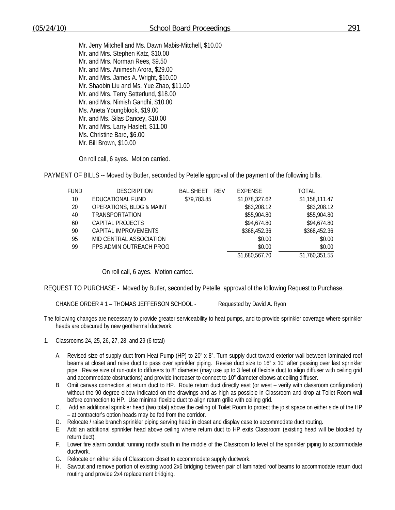Mr. Jerry Mitchell and Ms. Dawn Mabis-Mitchell, \$10.00 Mr. and Mrs. Stephen Katz, \$10.00 Mr. and Mrs. Norman Rees, \$9.50 Mr. and Mrs. Animesh Arora, \$29.00 Mr. and Mrs. James A. Wright, \$10.00 Mr. Shaobin Liu and Ms. Yue Zhao, \$11.00 Mr. and Mrs. Terry Setterlund, \$18.00 Mr. and Mrs. Nimish Gandhi, \$10.00 Ms. Aneta Youngblook, \$19.00 Mr. and Ms. Silas Dancey, \$10.00 Mr. and Mrs. Larry Haslett, \$11.00 Ms. Christine Bare, \$6.00 Mr. Bill Brown, \$10.00

On roll call, 6 ayes. Motion carried.

PAYMENT OF BILLS -- Moved by Butler, seconded by Petelle approval of the payment of the following bills.

| <b>FUND</b> | <b>DESCRIPTION</b>                  | <b>BAL.SHEET</b><br><b>RFV</b> | <b>EXPENSE</b> | <b>TOTAL</b>   |
|-------------|-------------------------------------|--------------------------------|----------------|----------------|
| 10          | EDUCATIONAL FUND                    | \$79,783.85                    | \$1,078,327.62 | \$1,158,111.47 |
| 20          | <b>OPERATIONS, BLDG &amp; MAINT</b> |                                | \$83,208.12    | \$83,208.12    |
| 40          | <b>TRANSPORTATION</b>               |                                | \$55,904.80    | \$55,904.80    |
| 60          | CAPITAL PROJECTS                    |                                | \$94,674.80    | \$94,674.80    |
| 90          | CAPITAL IMPROVEMENTS                |                                | \$368,452.36   | \$368,452.36   |
| 95          | MID CENTRAL ASSOCIATION             |                                | \$0.00         | \$0.00         |
| 99          | PPS ADMIN OUTREACH PROG             |                                | \$0.00         | \$0.00         |
|             |                                     |                                | \$1,680,567.70 | \$1,760,351.55 |

On roll call, 6 ayes. Motion carried.

REQUEST TO PURCHASE - Moved by Butler, seconded by Petelle approval of the following Request to Purchase.

CHANGE ORDER # 1 – THOMAS JEFFERSON SCHOOL - Requested by David A. Ryon

- The following changes are necessary to provide greater serviceability to heat pumps, and to provide sprinkler coverage where sprinkler heads are obscured by new geothermal ductwork:
- 1. Classrooms 24, 25, 26, 27, 28, and 29 (6 total)
	- A. Revised size of supply duct from Heat Pump (HP) to 20" x 8". Turn supply duct toward exterior wall between laminated roof beams at closet and raise duct to pass over sprinkler piping. Revise duct size to 16" x 10" after passing over last sprinkler pipe. Revise size of run-outs to diffusers to 8" diameter (may use up to 3 feet of flexible duct to align diffuser with ceiling grid and accommodate obstructions) and provide increaser to connect to 10" diameter elbows at ceiling diffuser.
	- B. Omit canvas connection at return duct to HP. Route return duct directly east (or west verify with classroom configuration) without the 90 degree elbow indicated on the drawings and as high as possible in Classroom and drop at Toilet Room wall before connection to HP. Use minimal flexible duct to align return grille with ceiling grid.
	- C. Add an additional sprinkler head (two total) above the ceiling of Toilet Room to protect the joist space on either side of the HP – at contractor's option heads may be fed from the corridor.
	- D. Relocate / raise branch sprinkler piping serving head in closet and display case to accommodate duct routing.
	- E. Add an additional sprinkler head above ceiling where return duct to HP exits Classroom (existing head will be blocked by return duct).
	- F. Lower fire alarm conduit running north/ south in the middle of the Classroom to level of the sprinkler piping to accommodate ductwork.
	- G. Relocate on either side of Classroom closet to accommodate supply ductwork.
	- H. Sawcut and remove portion of existing wood 2x6 bridging between pair of laminated roof beams to accommodate return duct routing and provide 2x4 replacement bridging.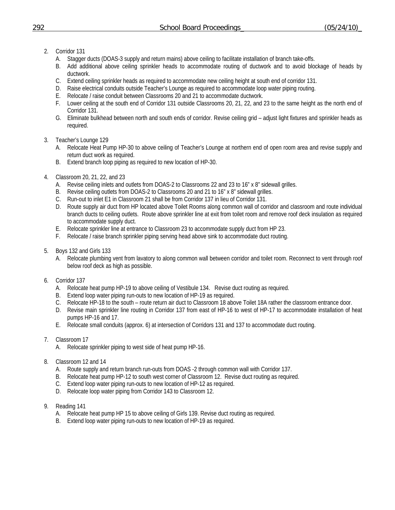- 2. Corridor 131
	- A. Stagger ducts (DOAS-3 supply and return mains) above ceiling to facilitate installation of branch take-offs.
	- B. Add additional above ceiling sprinkler heads to accommodate routing of ductwork and to avoid blockage of heads by ductwork.
	- C. Extend ceiling sprinkler heads as required to accommodate new ceiling height at south end of corridor 131.
	- D. Raise electrical conduits outside Teacher's Lounge as required to accommodate loop water piping routing.
	- E. Relocate / raise conduit between Classrooms 20 and 21 to accommodate ductwork.
	- F. Lower ceiling at the south end of Corridor 131 outside Classrooms 20, 21, 22, and 23 to the same height as the north end of Corridor 131.
	- G. Eliminate bulkhead between north and south ends of corridor. Revise ceiling grid adjust light fixtures and sprinkler heads as required.
- 3. Teacher's Lounge 129
	- A. Relocate Heat Pump HP-30 to above ceiling of Teacher's Lounge at northern end of open room area and revise supply and return duct work as required.
	- B. Extend branch loop piping as required to new location of HP-30.
- 4. Classroom 20, 21, 22, and 23
	- A. Revise ceiling inlets and outlets from DOAS-2 to Classrooms 22 and 23 to 16" x 8" sidewall grilles.
	- B. Revise ceiling outlets from DOAS-2 to Classrooms 20 and 21 to 16" x 8" sidewall grilles.
	- C. Run-out to inlet E1 in Classroom 21 shall be from Corridor 137 in lieu of Corridor 131.
	- D. Route supply air duct from HP located above Toilet Rooms along common wall of corridor and classroom and route individual branch ducts to ceiling outlets. Route above sprinkler line at exit from toilet room and remove roof deck insulation as required to accommodate supply duct.
	- E. Relocate sprinkler line at entrance to Classroom 23 to accommodate supply duct from HP 23.
	- F. Relocate / raise branch sprinkler piping serving head above sink to accommodate duct routing.
- 5. Boys 132 and Girls 133
	- A. Relocate plumbing vent from lavatory to along common wall between corridor and toilet room. Reconnect to vent through roof below roof deck as high as possible.
- 6. Corridor 137
	- A. Relocate heat pump HP-19 to above ceiling of Vestibule 134. Revise duct routing as required.
	- B. Extend loop water piping run-outs to new location of HP-19 as required.
	- C. Relocate HP-18 to the south route return air duct to Classroom 18 above Toilet 18A rather the classroom entrance door.
	- D. Revise main sprinkler line routing in Corridor 137 from east of HP-16 to west of HP-17 to accommodate installation of heat pumps HP-16 and 17.
	- E. Relocate small conduits (approx. 6) at intersection of Corridors 131 and 137 to accommodate duct routing.
- 7. Classroom 17
	- A. Relocate sprinkler piping to west side of heat pump HP-16.
- 8. Classroom 12 and 14
	- A. Route supply and return branch run-outs from DOAS -2 through common wall with Corridor 137.
	- B. Relocate heat pump HP-12 to south west corner of Classroom 12. Revise duct routing as required.
	- C. Extend loop water piping run-outs to new location of HP-12 as required.
	- D. Relocate loop water piping from Corridor 143 to Classroom 12.
- 9. Reading 141
	- A. Relocate heat pump HP 15 to above ceiling of Girls 139. Revise duct routing as required.
	- B. Extend loop water piping run-outs to new location of HP-19 as required.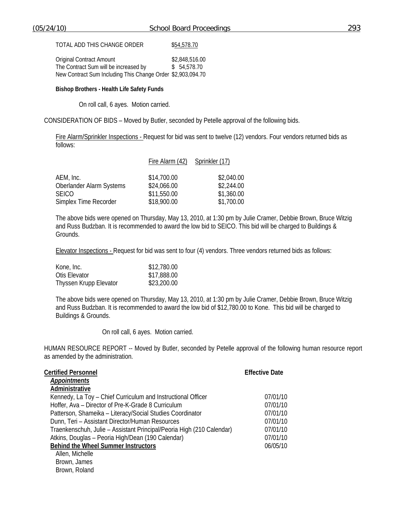| <b>Original Contract Amount</b>                             | \$2,848,516.00 |
|-------------------------------------------------------------|----------------|
| The Contract Sum will be increased by                       | \$54,578.70    |
| New Contract Sum Including This Change Order \$2,903,094.70 |                |

#### **Bishop Brothers - Health Life Safety Funds**

On roll call, 6 ayes. Motion carried.

### CONSIDERATION OF BIDS – Moved by Butler, seconded by Petelle approval of the following bids.

Fire Alarm/Sprinkler Inspections - Request for bid was sent to twelve (12) vendors. Four vendors returned bids as follows:

|                          | Fire Alarm (42) Sprinkler (17) |            |  |
|--------------------------|--------------------------------|------------|--|
| AEM, Inc.                | \$14,700.00                    | \$2,040.00 |  |
| Oberlander Alarm Systems | \$24,066.00                    | \$2,244.00 |  |
| <b>SEICO</b>             | \$11,550.00                    | \$1,360.00 |  |
| Simplex Time Recorder    | \$18,900.00                    | \$1,700.00 |  |

The above bids were opened on Thursday, May 13, 2010, at 1:30 pm by Julie Cramer, Debbie Brown, Bruce Witzig and Russ Budzban. It is recommended to award the low bid to SEICO. This bid will be charged to Buildings & Grounds.

Elevator Inspections - Request for bid was sent to four (4) vendors. Three vendors returned bids as follows:

| Kone, Inc.             | \$12,780.00 |
|------------------------|-------------|
| Otis Elevator          | \$17,888.00 |
| Thyssen Krupp Elevator | \$23,200.00 |

The above bids were opened on Thursday, May 13, 2010, at 1:30 pm by Julie Cramer, Debbie Brown, Bruce Witzig and Russ Budzban. It is recommended to award the low bid of \$12,780.00 to Kone. This bid will be charged to Buildings & Grounds.

On roll call, 6 ayes. Motion carried.

HUMAN RESOURCE REPORT -- Moved by Butler, seconded by Petelle approval of the following human resource report as amended by the administration.

| <b>Effective Date</b> |
|-----------------------|
|                       |
|                       |
| 07/01/10              |
| 07/01/10              |
| 07/01/10              |
| 07/01/10              |
| 07/01/10              |
| 07/01/10              |
| 06/05/10              |
|                       |
|                       |
|                       |
|                       |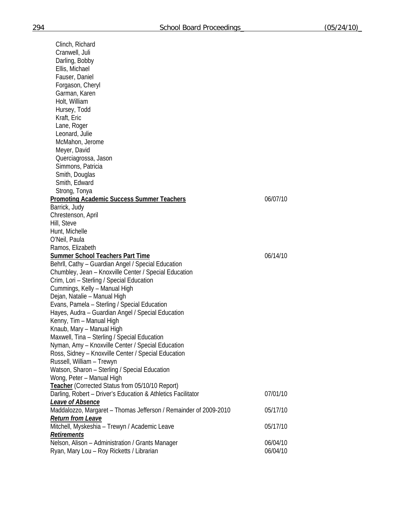Clinch, Richard Cranwell, Juli Darling, Bobby Ellis, Michael Fauser, Daniel Forgason, Cheryl Garman, Karen Holt, William Hursey, Todd Kraft, Eric Lane, Roger Leonard, Julie McMahon, Jerome Meyer, David Querciagrossa, Jason Simmons, Patricia Smith, Douglas Smith, Edward Strong, Tonya **Promoting Academic Success Summer Teachers** 06/07/10 Barrick, Judy Chrestenson, April Hill, Steve Hunt, Michelle O'Neil, Paula Ramos, Elizabeth **Summer School Teachers Part Time** 06/14/10 Behrll, Cathy – Guardian Angel / Special Education Chumbley, Jean – Knoxville Center / Special Education Crim, Lori – Sterling / Special Education Cummings, Kelly – Manual High Dejan, Natalie – Manual High Evans, Pamela – Sterling / Special Education Hayes, Audra – Guardian Angel / Special Education Kenny, Tim – Manual High Knaub, Mary – Manual High Maxwell, Tina – Sterling / Special Education Nyman, Amy – Knoxville Center / Special Education Ross, Sidney – Knoxville Center / Special Education Russell, William – Trewyn Watson, Sharon – Sterling / Special Education Wong, Peter – Manual High **Teacher** (Corrected Status from 05/10/10 Report) Darling, Robert – Driver's Education & Athletics Facilitator 07/01/10 *Leave of Absence* Maddalozzo, Margaret – Thomas Jefferson / Remainder of 2009-2010 05/17/10 *Return from Leave* Mitchell, Myskeshia – Trewyn / Academic Leave 05/17/10  *Retirements* Nelson, Alison – Administration / Grants Manager 06/04/10 Ryan, Mary Lou – Roy Ricketts / Librarian 06/04/10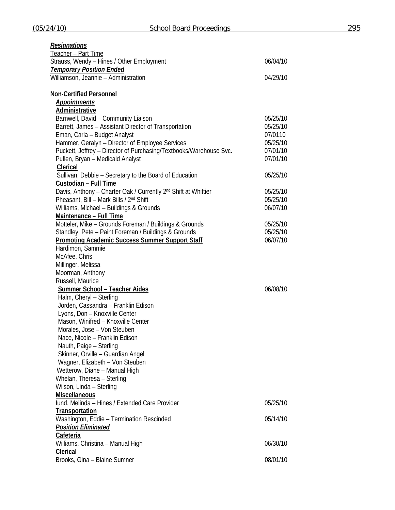| <b>Resignations</b>                                                        |          |
|----------------------------------------------------------------------------|----------|
| Teacher - Part Time                                                        |          |
| Strauss, Wendy - Hines / Other Employment                                  | 06/04/10 |
| <b>Temporary Position Ended</b>                                            |          |
| Williamson, Jeannie - Administration                                       | 04/29/10 |
| <b>Non-Certified Personnel</b>                                             |          |
| <b>Appointments</b>                                                        |          |
| Administrative                                                             |          |
| Barnwell, David - Community Liaison                                        | 05/25/10 |
| Barrett, James - Assistant Director of Transportation                      | 05/25/10 |
| Eman, Carla - Budget Analyst                                               | 07/0110  |
| Hammer, Geralyn - Director of Employee Services                            | 05/25/10 |
| Puckett, Jeffrey - Director of Purchasing/Textbooks/Warehouse Svc.         | 07/01/10 |
| Pullen, Bryan - Medicaid Analyst                                           | 07/01/10 |
| Clerical                                                                   |          |
| Sullivan, Debbie - Secretary to the Board of Education                     | 05/25/10 |
| Custodian - Full Time                                                      |          |
| Davis, Anthony - Charter Oak / Currently 2 <sup>nd</sup> Shift at Whittier | 05/25/10 |
| Pheasant, Bill - Mark Bills / 2 <sup>nd</sup> Shift                        | 05/25/10 |
| Williams, Michael - Buildings & Grounds                                    | 06/07/10 |
| Maintenance - Full Time                                                    |          |
| Motteler, Mike - Grounds Foreman / Buildings & Grounds                     | 05/25/10 |
| Standley, Pete - Paint Foreman / Buildings & Grounds                       | 05/25/10 |
| <b>Promoting Academic Success Summer Support Staff</b>                     | 06/07/10 |
| Hardimon, Sammie                                                           |          |
| McAfee, Chris                                                              |          |
| Millinger, Melissa                                                         |          |
| Moorman, Anthony                                                           |          |
| Russell, Maurice                                                           |          |
| <b>Summer School - Teacher Aides</b>                                       | 06/08/10 |
| Halm, Cheryl - Sterling                                                    |          |
| Jorden, Cassandra - Franklin Edison                                        |          |
| Lyons, Don - Knoxville Center                                              |          |
| Mason, Winifred - Knoxville Center                                         |          |
| Morales, Jose - Von Steuben                                                |          |
| Nace, Nicole - Franklin Edison                                             |          |
| Nauth, Paige - Sterling                                                    |          |
| Skinner, Orville - Guardian Angel                                          |          |
| Wagner, Elizabeth - Von Steuben                                            |          |
| Wetterow, Diane - Manual High                                              |          |
| Whelan, Theresa - Sterling                                                 |          |
| Wilson, Linda - Sterling                                                   |          |
| <b>Miscellaneous</b>                                                       |          |
| Iund, Melinda - Hines / Extended Care Provider                             | 05/25/10 |
| Transportation                                                             |          |
|                                                                            |          |
| Washington, Eddie - Termination Rescinded                                  | 05/14/10 |
| <b>Position Eliminated</b>                                                 |          |
| Cafeteria                                                                  |          |
| Williams, Christina - Manual High                                          | 06/30/10 |
| Clerical                                                                   |          |
| Brooks, Gina - Blaine Sumner                                               | 08/01/10 |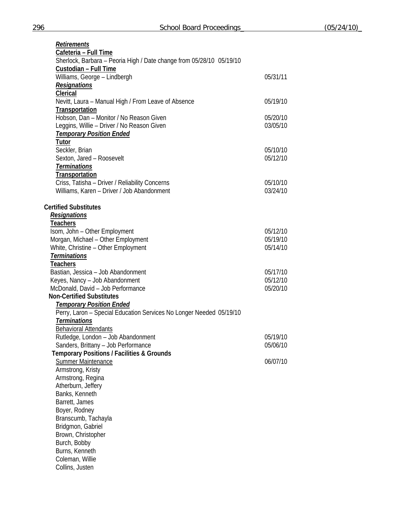| <b>Retirements</b>                                                   |          |
|----------------------------------------------------------------------|----------|
| Cafeteria - Full Time                                                |          |
| Sherlock, Barbara - Peoria High / Date change from 05/28/10 05/19/10 |          |
| Custodian - Full Time                                                |          |
| Williams, George - Lindbergh                                         | 05/31/11 |
| <b>Resignations</b>                                                  |          |
| Clerical                                                             |          |
| Nevitt, Laura - Manual High / From Leave of Absence                  | 05/19/10 |
| Transportation                                                       |          |
| Hobson, Dan - Monitor / No Reason Given                              | 05/20/10 |
| Leggins, Willie - Driver / No Reason Given                           | 03/05/10 |
| <b>Temporary Position Ended</b>                                      |          |
| <b>Tutor</b>                                                         |          |
| Seckler, Brian                                                       | 05/10/10 |
| Sexton, Jared - Roosevelt                                            | 05/12/10 |
| <b>Terminations</b>                                                  |          |
| <b>Transportation</b>                                                |          |
| Criss, Tatisha - Driver / Reliability Concerns                       | 05/10/10 |
| Williams, Karen - Driver / Job Abandonment                           | 03/24/10 |
|                                                                      |          |
| <b>Certified Substitutes</b>                                         |          |
| <b>Resignations</b>                                                  |          |
| <b>Teachers</b>                                                      |          |
| Isom, John - Other Employment                                        | 05/12/10 |
| Morgan, Michael - Other Employment                                   | 05/19/10 |
| White, Christine - Other Employment                                  | 05/14/10 |
| <b>Terminations</b>                                                  |          |
| <b>Teachers</b>                                                      |          |
| Bastian, Jessica - Job Abandonment                                   | 05/17/10 |
| Keyes, Nancy - Job Abandonment                                       | 05/12/10 |
| McDonald, David - Job Performance                                    | 05/20/10 |
| <b>Non-Certified Substitutes</b>                                     |          |
| <b>Temporary Position Ended</b>                                      |          |
| Perry, Laron - Special Education Services No Longer Needed 05/19/10  |          |
| <b>Terminations</b>                                                  |          |
| <b>Behavioral Attendants</b>                                         |          |
| Rutledge, London - Job Abandonment                                   | 05/19/10 |
| Sanders, Brittany - Job Performance                                  | 05/06/10 |
| <b>Temporary Positions / Facilities &amp; Grounds</b>                |          |
| <b>Summer Maintenance</b>                                            | 06/07/10 |
| Armstrong, Kristy                                                    |          |
| Armstrong, Regina                                                    |          |
| Atherburn, Jeffery                                                   |          |
| Banks, Kenneth<br>Barrett, James                                     |          |
|                                                                      |          |
| Boyer, Rodney                                                        |          |
| Branscumb, Tachayla                                                  |          |
| Bridgmon, Gabriel                                                    |          |
| Brown, Christopher                                                   |          |
| Burch, Bobby                                                         |          |
| Burns, Kenneth                                                       |          |
| Coleman, Willie                                                      |          |
| Collins, Justen                                                      |          |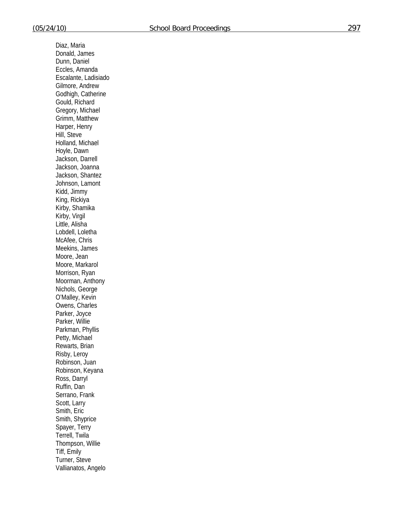Diaz, Maria Donald, James Dunn, Daniel Eccles, Amanda Escalante, Ladisiado Gilmore, Andrew Godhigh, Catherine Gould, Richard Gregory, Michael Grimm, Matthew Harper, Henry Hill, Steve Holland, Michael Hoyle, Dawn Jackson, Darrell Jackson, Joanna Jackson, Shantez Johnson, Lamont Kidd, Jimmy King, Rickiya Kirby, Shamika Kirby, Virgil Little, Alisha Lobdell, Loletha McAfee, Chris Meekins, James Moore, Jean Moore, Markarol Morrison, Ryan Moorman, Anthony Nichols, George O'Malley, Kevin Owens, Charles Parker, Joyce Parker, Willie Parkman, Phyllis Petty, Michael Rewarts, Brian Risby, Leroy Robinson, Juan Robinson, Keyana Ross, Darryl Ruffin, Dan Serrano, Frank Scott, Larry Smith, Eric Smith, Shyprice Spayer, Terry Terrell, Twila Thompson, Willie Tiff, Emily Turner, Steve Vallianatos, Angelo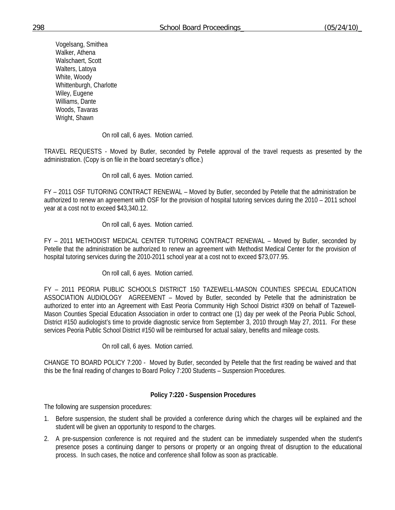Vogelsang, Smithea Walker, Athena Walschaert, Scott Walters, Latoya White, Woody Whittenburgh, Charlotte Wiley, Eugene Williams, Dante Woods, Tavaras Wright, Shawn

On roll call, 6 ayes. Motion carried.

TRAVEL REQUESTS - Moved by Butler, seconded by Petelle approval of the travel requests as presented by the administration. (Copy is on file in the board secretary's office.)

On roll call, 6 ayes. Motion carried.

FY – 2011 OSF TUTORING CONTRACT RENEWAL – Moved by Butler, seconded by Petelle that the administration be authorized to renew an agreement with OSF for the provision of hospital tutoring services during the 2010 – 2011 school year at a cost not to exceed \$43,340.12.

On roll call, 6 ayes. Motion carried.

FY – 2011 METHODIST MEDICAL CENTER TUTORING CONTRACT RENEWAL – Moved by Butler, seconded by Petelle that the administration be authorized to renew an agreement with Methodist Medical Center for the provision of hospital tutoring services during the 2010-2011 school year at a cost not to exceed \$73,077.95.

# On roll call, 6 ayes. Motion carried.

FY – 2011 PEORIA PUBLIC SCHOOLS DISTRICT 150 TAZEWELL-MASON COUNTIES SPECIAL EDUCATION ASSOCIATION AUDIOLOGY AGREEMENT – Moved by Butler, seconded by Petelle that the administration be authorized to enter into an Agreement with East Peoria Community High School District #309 on behalf of Tazewell-Mason Counties Special Education Association in order to contract one (1) day per week of the Peoria Public School, District #150 audiologist's time to provide diagnostic service from September 3, 2010 through May 27, 2011. For these services Peoria Public School District #150 will be reimbursed for actual salary, benefits and mileage costs.

On roll call, 6 ayes. Motion carried.

CHANGE TO BOARD POLICY 7:200 - Moved by Butler, seconded by Petelle that the first reading be waived and that this be the final reading of changes to Board Policy 7:200 Students – Suspension Procedures.

# **Policy 7:220 - Suspension Procedures**

The following are suspension procedures:

- 1. Before suspension, the student shall be provided a conference during which the charges will be explained and the student will be given an opportunity to respond to the charges.
- 2. A pre-suspension conference is not required and the student can be immediately suspended when the student's presence poses a continuing danger to persons or property or an ongoing threat of disruption to the educational process. In such cases, the notice and conference shall follow as soon as practicable.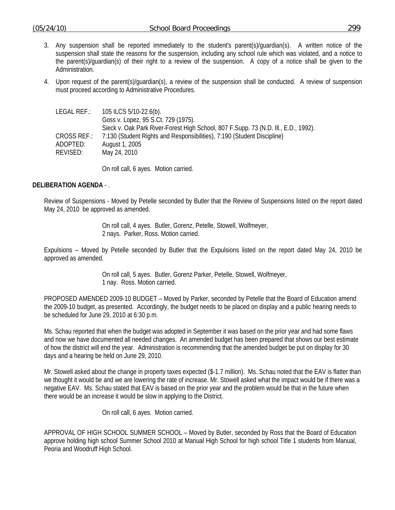- 3. Any suspension shall be reported immediately to the student's parent(s)/guardian(s). A written notice of the suspension shall state the reasons for the suspension, including any school rule which was violated, and a notice to the parent(s)/guardian(s) of their right to a review of the suspension. A copy of a notice shall be given to the Administration.
- 4. Upon request of the parent(s)/guardian(s), a review of the suspension shall be conducted. A review of suspension must proceed according to Administrative Procedures.

| LEGAL REF.: | 105 ILCS 5/10-22.6(b).                                                               |
|-------------|--------------------------------------------------------------------------------------|
|             | Goss v. Lopez, 95 S.Ct. 729 (1975).                                                  |
|             | Sieck v. Oak Park River-Forest High School, 807 F. Supp. 73 (N.D. III., E.D., 1992). |
| CROSS REF.: | 7:130 (Student Rights and Responsibilities), 7:190 (Student Discipline)              |
| ADOPTED:    | August 1, 2005                                                                       |
| revised:    | May 24, 2010                                                                         |
|             |                                                                                      |

On roll call, 6 ayes. Motion carried.

## **DELIBERATION AGENDA** - .

Review of Suspensions - Moved by Petelle seconded by Butler that the Review of Suspensions listed on the report dated May 24, 2010 be approved as amended.

> On roll call, 4 ayes. Butler, Gorenz, Petelle, Stowell, Wolfmeyer, 2 nays. Parker, Ross. Motion carried.

Expulsions – Moved by Petelle seconded by Butler that the Expulsions listed on the report dated May 24, 2010 be approved as amended.

> On roll call, 5 ayes. Butler, Gorenz Parker, Petelle, Stowell, Wolfmeyer, 1 nay. Ross. Motion carried.

PROPOSED AMENDED 2009-10 BUDGET – Moved by Parker, seconded by Petelle that the Board of Education amend the 2009-10 budget, as presented. Accordingly, the budget needs to be placed on display and a public hearing needs to be scheduled for June 29, 2010 at 6:30 p.m.

Ms. Schau reported that when the budget was adopted in September it was based on the prior year and had some flaws and now we have documented all needed changes. An amended budget has been prepared that shows our best estimate of how the district will end the year. Administration is recommending that the amended budget be put on display for 30 days and a hearing be held on June 29, 2010.

Mr. Stowell asked about the change in property taxes expected (\$-1.7 million). Ms. Schau noted that the EAV is flatter than we thought it would be and we are lowering the rate of increase. Mr. Stowell asked what the impact would be if there was a negative EAV. Ms. Schau stated that EAV is based on the prior year and the problem would be that in the future when there would be an increase it would be slow in applying to the District.

On roll call, 6 ayes. Motion carried.

APPROVAL OF HIGH SCHOOL SUMMER SCHOOL – Moved by Butler, seconded by Ross that the Board of Education approve holding high school Summer School 2010 at Manual High School for high school Title 1 students from Manual, Peoria and Woodruff High School.